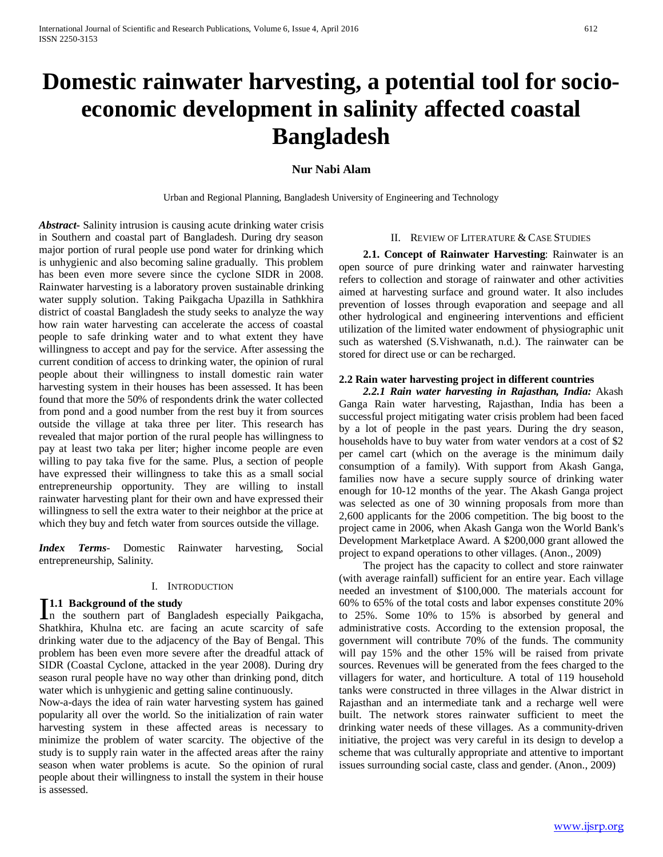# **Domestic rainwater harvesting, a potential tool for socioeconomic development in salinity affected coastal Bangladesh**

## **Nur Nabi Alam**

Urban and Regional Planning, Bangladesh University of Engineering and Technology

*Abstract***-** Salinity intrusion is causing acute drinking water crisis in Southern and coastal part of Bangladesh. During dry season major portion of rural people use pond water for drinking which is unhygienic and also becoming saline gradually. This problem has been even more severe since the cyclone SIDR in 2008. Rainwater harvesting is a laboratory proven sustainable drinking water supply solution. Taking Paikgacha Upazilla in Sathkhira district of coastal Bangladesh the study seeks to analyze the way how rain water harvesting can accelerate the access of coastal people to safe drinking water and to what extent they have willingness to accept and pay for the service. After assessing the current condition of access to drinking water, the opinion of rural people about their willingness to install domestic rain water harvesting system in their houses has been assessed. It has been found that more the 50% of respondents drink the water collected from pond and a good number from the rest buy it from sources outside the village at taka three per liter. This research has revealed that major portion of the rural people has willingness to pay at least two taka per liter; higher income people are even willing to pay taka five for the same. Plus, a section of people have expressed their willingness to take this as a small social entrepreneurship opportunity. They are willing to install rainwater harvesting plant for their own and have expressed their willingness to sell the extra water to their neighbor at the price at which they buy and fetch water from sources outside the village.

*Index Terms*- Domestic Rainwater harvesting, Social entrepreneurship, Salinity.

#### I. INTRODUCTION

#### **1.1 Background of the study**

**I.1 Background of the study**<br>
In the southern part of Bangladesh especially Paikgacha, Shatkhira, Khulna etc. are facing an acute scarcity of safe drinking water due to the adjacency of the Bay of Bengal. This problem has been even more severe after the dreadful attack of SIDR (Coastal Cyclone, attacked in the year 2008). During dry season rural people have no way other than drinking pond, ditch water which is unhygienic and getting saline continuously.

Now-a-days the idea of rain water harvesting system has gained popularity all over the world. So the initialization of rain water harvesting system in these affected areas is necessary to minimize the problem of water scarcity. The objective of the study is to supply rain water in the affected areas after the rainy season when water problems is acute. So the opinion of rural people about their willingness to install the system in their house is assessed.

#### II. REVIEW OF LITERATURE & CASE STUDIES

 **2.1. Concept of Rainwater Harvesting**: Rainwater is an open source of pure drinking water and rainwater harvesting refers to collection and storage of rainwater and other activities aimed at harvesting surface and ground water. It also includes prevention of losses through evaporation and seepage and all other hydrological and engineering interventions and efficient utilization of the limited water endowment of physiographic unit such as watershed (S.Vishwanath, n.d.). The rainwater can be stored for direct use or can be recharged.

#### **2.2 Rain water harvesting project in different countries**

*2.2.1 Rain water harvesting in Rajasthan, India:* Akash Ganga Rain water harvesting, Rajasthan, India has been a successful project mitigating water crisis problem had been faced by a lot of people in the past years. During the dry season, households have to buy water from water vendors at a cost of \$2 per camel cart (which on the average is the minimum daily consumption of a family). With support from Akash Ganga, families now have a secure supply source of drinking water enough for 10-12 months of the year. The Akash Ganga project was selected as one of 30 winning proposals from more than 2,600 applicants for the 2006 competition. The big boost to the project came in 2006, when Akash Ganga won the World Bank's Development Marketplace Award. A \$200,000 grant allowed the project to expand operations to other villages. (Anon., 2009)

The project has the capacity to collect and store rainwater (with average rainfall) sufficient for an entire year. Each village needed an investment of \$100,000. The materials account for 60% to 65% of the total costs and labor expenses constitute 20% to 25%. Some 10% to 15% is absorbed by general and administrative costs. According to the extension proposal, the government will contribute 70% of the funds. The community will pay 15% and the other 15% will be raised from private sources. Revenues will be generated from the fees charged to the villagers for water, and horticulture. A total of 119 household tanks were constructed in three villages in the Alwar district in Rajasthan and an intermediate tank and a recharge well were built. The network stores rainwater sufficient to meet the drinking water needs of these villages. As a community-driven initiative, the project was very careful in its design to develop a scheme that was culturally appropriate and attentive to important issues surrounding social caste, class and gender. (Anon., 2009)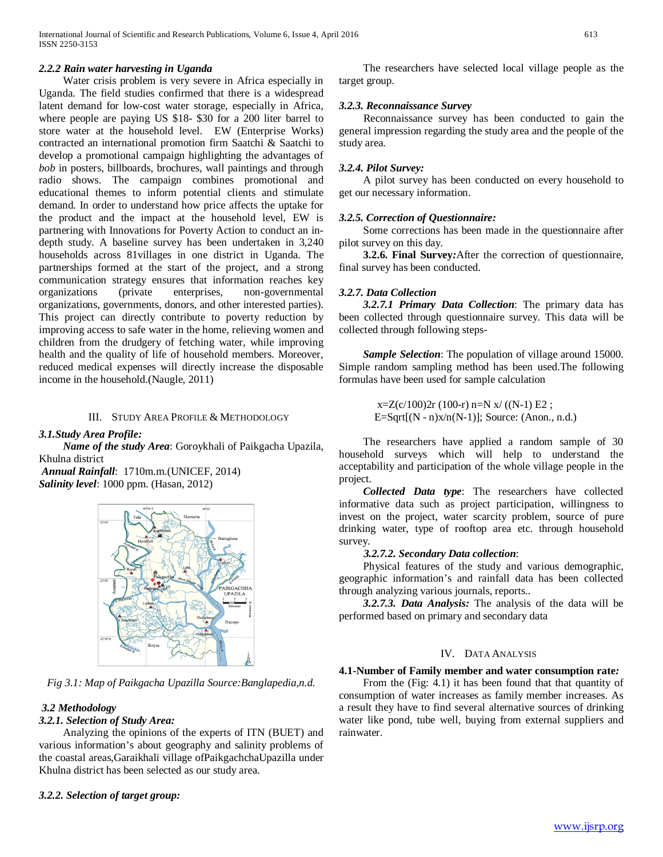### *2.2.2 Rain water harvesting in Uganda*

Water crisis problem is very severe in Africa especially in Uganda. The field studies confirmed that there is a widespread latent demand for low-cost water storage, especially in Africa, where people are paying US \$18- \$30 for a 200 liter barrel to store water at the household level. EW (Enterprise Works) contracted an international promotion firm Saatchi & Saatchi to develop a promotional campaign highlighting the advantages of *bob* in posters, billboards, brochures, wall paintings and through radio shows. The campaign combines promotional and educational themes to inform potential clients and stimulate demand. In order to understand how price affects the uptake for the product and the impact at the household level, EW is partnering with Innovations for Poverty Action to conduct an indepth study. A baseline survey has been undertaken in 3,240 households across 81villages in one district in Uganda. The partnerships formed at the start of the project, and a strong communication strategy ensures that information reaches key organizations (private enterprises, non-governmental organizations, governments, donors, and other interested parties). This project can directly contribute to poverty reduction by improving access to safe water in the home, relieving women and children from the drudgery of fetching water, while improving health and the quality of life of household members. Moreover, reduced medical expenses will directly increase the disposable income in the household.(Naugle, 2011)

## III. STUDY AREA PROFILE & METHODOLOGY

*3.1.Study Area Profile:*

*Name of the study Area*: Goroykhali of Paikgacha Upazila, Khulna district

*Annual Rainfall*: 1710m.m.(UNICEF, 2014) *Salinity level*: 1000 ppm. (Hasan, 2012)



*Fig 3.1: Map of Paikgacha Upazilla Source:Banglapedia,n.d.*

## *3.2 Methodology*

## *3.2.1. Selection of Study Area:*

Analyzing the opinions of the experts of ITN (BUET) and various information's about geography and salinity problems of the coastal areas,Garaikhali village ofPaikgachchaUpazilla under Khulna district has been selected as our study area.

## *3.2.2. Selection of target group:*

The researchers have selected local village people as the target group.

### *3.2.3. Reconnaissance Survey*

Reconnaissance survey has been conducted to gain the general impression regarding the study area and the people of the study area.

#### *3.2.4. Pilot Survey:*

A pilot survey has been conducted on every household to get our necessary information.

#### *3.2.5. Correction of Questionnaire:*

Some corrections has been made in the questionnaire after pilot survey on this day.

 **3.2.6. Final Survey***:*After the correction of questionnaire, final survey has been conducted.

## *3.2.7. Data Collection*

*3.2.7.1 Primary Data Collection*: The primary data has been collected through questionnaire survey. This data will be collected through following steps-

*Sample Selection*: The population of village around 15000. Simple random sampling method has been used.The following formulas have been used for sample calculation

> $x=Z(c/100)2r(100-r) n=N x/((N-1) E2;$ E=Sqrt $[(N - n)x/n(N-1)]$ ; Source: (Anon., n.d.)

The researchers have applied a random sample of 30 household surveys which will help to understand the acceptability and participation of the whole village people in the project.

*Collected Data type*: The researchers have collected informative data such as project participation, willingness to invest on the project, water scarcity problem, source of pure drinking water, type of rooftop area etc. through household survey.

#### *3.2.7.2. Secondary Data collection*:

 Physical features of the study and various demographic, geographic information's and rainfall data has been collected through analyzing various journals, reports..

 *3.2.7.3. Data Analysis:* The analysis of the data will be performed based on primary and secondary data

#### IV. DATA ANALYSIS

#### **4.1-Number of Family member and water consumption rate***:*

 From the (Fig: 4.1) it has been found that that quantity of consumption of water increases as family member increases. As a result they have to find several alternative sources of drinking water like pond, tube well, buying from external suppliers and rainwater.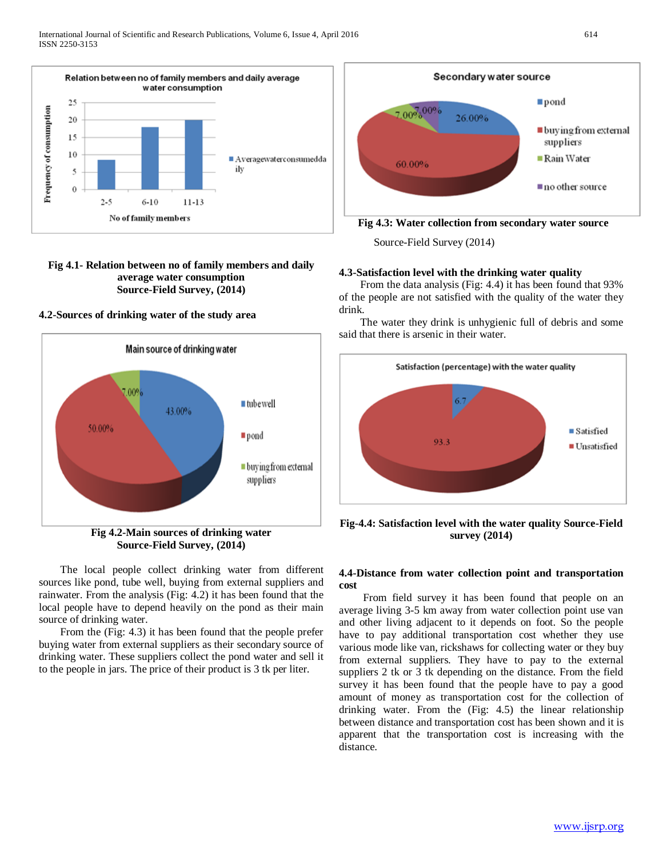

#### **Fig 4.1- Relation between no of family members and daily average water consumption Source-Field Survey, (2014)**

**4.2-Sources of drinking water of the study area**



**Fig 4.2-Main sources of drinking water Source-Field Survey, (2014)**

 The local people collect drinking water from different sources like pond, tube well, buying from external suppliers and rainwater. From the analysis (Fig: 4.2) it has been found that the local people have to depend heavily on the pond as their main source of drinking water.

 From the (Fig: 4.3) it has been found that the people prefer buying water from external suppliers as their secondary source of drinking water. These suppliers collect the pond water and sell it to the people in jars. The price of their product is 3 tk per liter.



**Fig 4.3: Water collection from secondary water source**

Source-Field Survey (2014)

## **4.3-Satisfaction level with the drinking water quality**

 From the data analysis (Fig: 4.4) it has been found that 93% of the people are not satisfied with the quality of the water they drink.

 The water they drink is unhygienic full of debris and some said that there is arsenic in their water.



**Fig-4.4: Satisfaction level with the water quality Source-Field survey (2014)**

#### **4.4-Distance from water collection point and transportation cost**

 From field survey it has been found that people on an average living 3-5 km away from water collection point use van and other living adjacent to it depends on foot. So the people have to pay additional transportation cost whether they use various mode like van, rickshaws for collecting water or they buy from external suppliers. They have to pay to the external suppliers 2 tk or 3 tk depending on the distance. From the field survey it has been found that the people have to pay a good amount of money as transportation cost for the collection of drinking water. From the (Fig: 4.5) the linear relationship between distance and transportation cost has been shown and it is apparent that the transportation cost is increasing with the distance.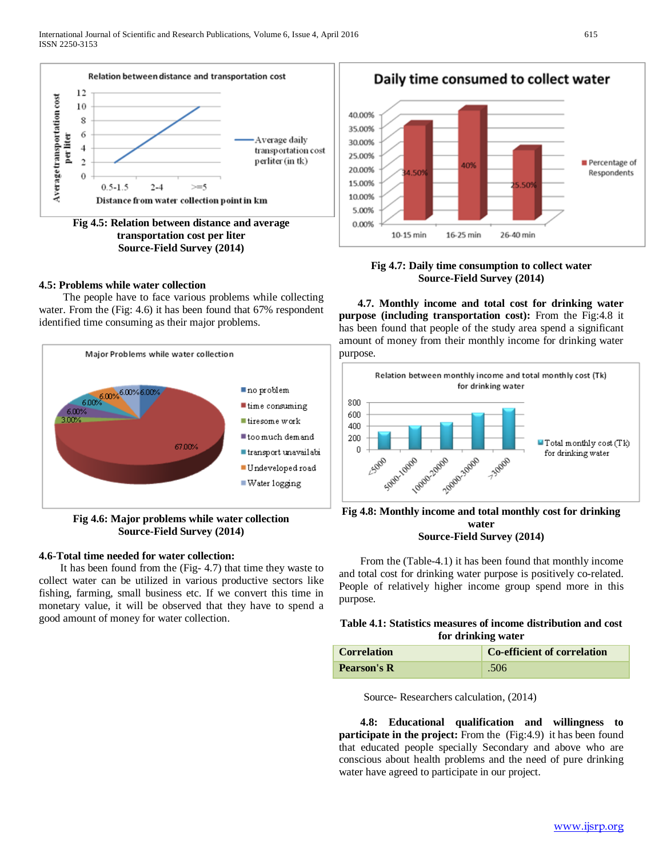

## **transportation cost per liter Source-Field Survey (2014)**

#### **4.5: Problems while water collection**

 The people have to face various problems while collecting water. From the (Fig: 4.6) it has been found that 67% respondent identified time consuming as their major problems.



**Fig 4.6: Major problems while water collection Source-Field Survey (2014)**

#### **4.6-Total time needed for water collection:**

 It has been found from the (Fig- 4.7) that time they waste to collect water can be utilized in various productive sectors like fishing, farming, small business etc. If we convert this time in monetary value, it will be observed that they have to spend a good amount of money for water collection.

Daily time consumed to collect water 40.00% 35.00% 30.00% 25.00% Percentage of 40% 20.00% 4.509 Respondents 15.00% 5.509 10.00% 5.00% 0.00% 16-25 min 26-40 min 10-15 min

**Fig 4.7: Daily time consumption to collect water Source-Field Survey (2014)**

 **4.7. Monthly income and total cost for drinking water purpose (including transportation cost):** From the Fig:4.8 it has been found that people of the study area spend a significant amount of money from their monthly income for drinking water purpose.



**Fig 4.8: Monthly income and total monthly cost for drinking water Source-Field Survey (2014)**

 From the (Table-4.1) it has been found that monthly income and total cost for drinking water purpose is positively co-related. People of relatively higher income group spend more in this purpose.

## **Table 4.1: Statistics measures of income distribution and cost for drinking water**

| <b>Correlation</b> | Co-efficient of correlation |
|--------------------|-----------------------------|
| <b>Pearson's R</b> | .506                        |

Source- Researchers calculation, (2014)

 **4.8: Educational qualification and willingness to participate in the project:** From the (Fig:4.9) it has been found that educated people specially Secondary and above who are conscious about health problems and the need of pure drinking water have agreed to participate in our project.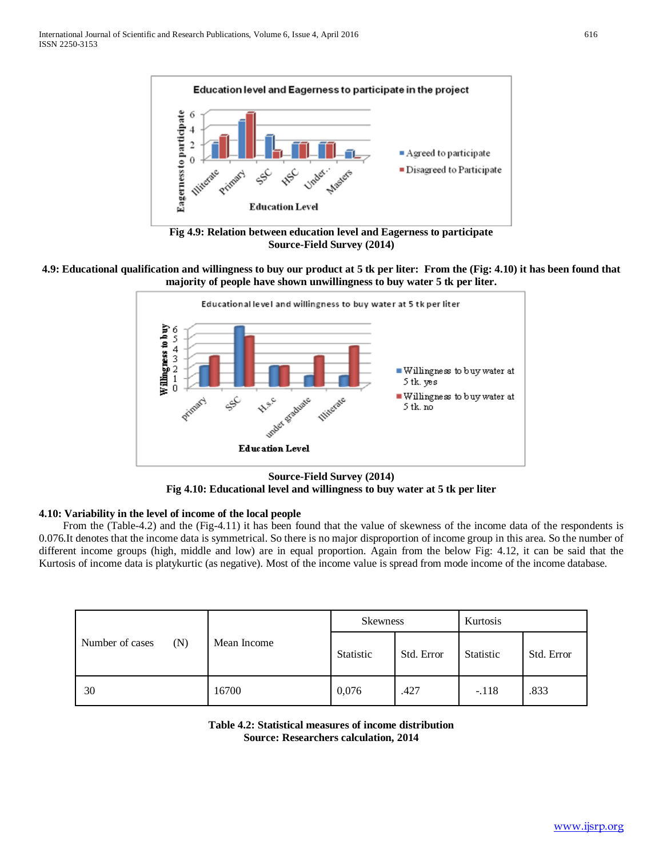

**Fig 4.9: Relation between education level and Eagerness to participate Source-Field Survey (2014)**

## **4.9: Educational qualification and willingness to buy our product at 5 tk per liter: From the (Fig: 4.10) it has been found that majority of people have shown unwillingness to buy water 5 tk per liter.**



**Source-Field Survey (2014) Fig 4.10: Educational level and willingness to buy water at 5 tk per liter**

# **4.10: Variability in the level of income of the local people**

 From the (Table-4.2) and the (Fig-4.11) it has been found that the value of skewness of the income data of the respondents is 0.076.It denotes that the income data is symmetrical. So there is no major disproportion of income group in this area. So the number of different income groups (high, middle and low) are in equal proportion. Again from the below Fig: 4.12, it can be said that the Kurtosis of income data is platykurtic (as negative). Most of the income value is spread from mode income of the income database.

|                        | Mean Income | <b>Skewness</b> |            | Kurtosis  |            |
|------------------------|-------------|-----------------|------------|-----------|------------|
| Number of cases<br>(N) |             | Statistic       | Std. Error | Statistic | Std. Error |
| 30                     | 16700       | 0,076           | .427       | $-.118$   | .833       |

**Table 4.2: Statistical measures of income distribution Source: Researchers calculation, 2014**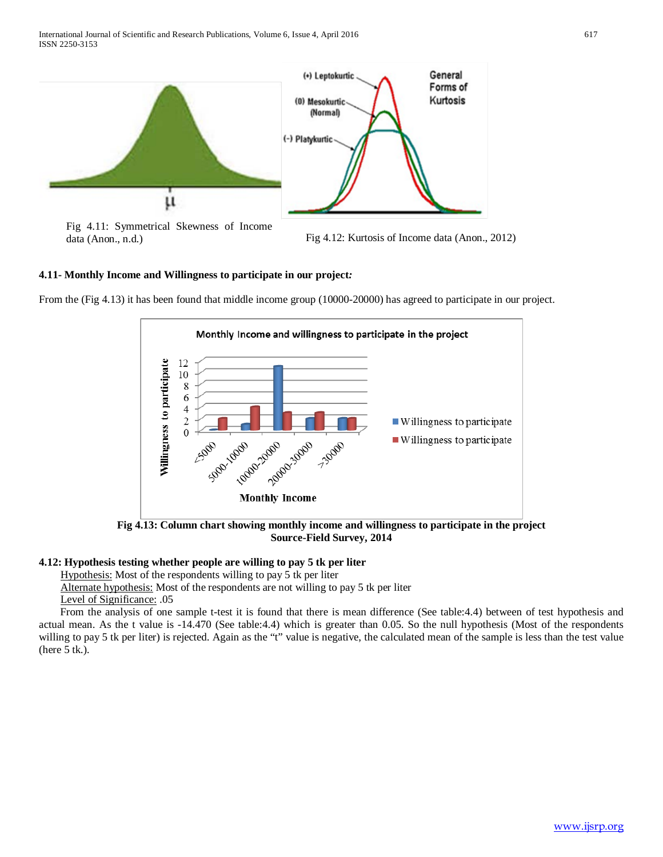

Fig 4.11: Symmetrical Skewness of Income data (Anon., n.d.) Fig 4.12: Kurtosis of Income data (Anon., 2012)

## **4.11- Monthly Income and Willingness to participate in our project***:*

From the (Fig 4.13) it has been found that middle income group (10000-20000) has agreed to participate in our project.



**Fig 4.13: Column chart showing monthly income and willingness to participate in the project Source-Field Survey, 2014**

#### **4.12: Hypothesis testing whether people are willing to pay 5 tk per liter**

Hypothesis: Most of the respondents willing to pay 5 tk per liter

 Alternate hypothesis: Most of the respondents are not willing to pay 5 tk per liter Level of Significance: .05

 From the analysis of one sample t-test it is found that there is mean difference (See table:4.4) between of test hypothesis and actual mean. As the t value is -14.470 (See table:4.4) which is greater than 0.05. So the null hypothesis (Most of the respondents willing to pay 5 tk per liter) is rejected. Again as the "t" value is negative, the calculated mean of the sample is less than the test value (here 5 tk.).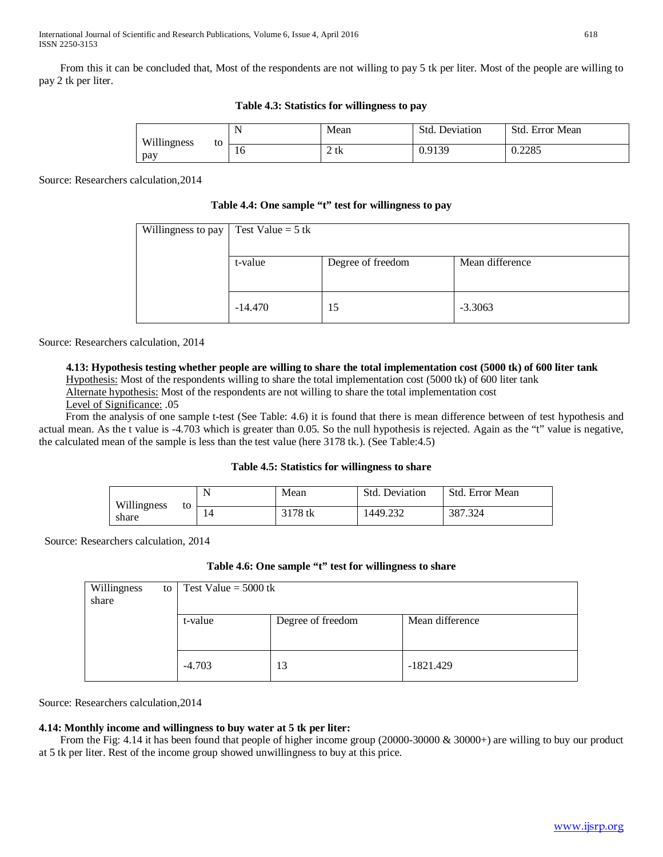From this it can be concluded that, Most of the respondents are not willing to pay 5 tk per liter. Most of the people are willing to pay 2 tk per liter.

| Willingness<br>to<br>pay | N<br>. . | Mean        | Std. 1<br>Deviation | Std. Error Mean |
|--------------------------|----------|-------------|---------------------|-----------------|
|                          | 10       | $\gamma$ tk | 0.9139              | 0.2285          |

## **Table 4.3: Statistics for willingness to pay**

Source: Researchers calculation,2014

#### **Table 4.4: One sample "t" test for willingness to pay**

| Willingness to pay | Test Value = $5$ tk |                   |                 |
|--------------------|---------------------|-------------------|-----------------|
|                    |                     |                   |                 |
|                    | t-value             | Degree of freedom | Mean difference |
|                    |                     |                   |                 |
|                    | $-14.470$           | 15                | $-3.3063$       |
|                    |                     |                   |                 |

Source: Researchers calculation, 2014

## **4.13: Hypothesis testing whether people are willing to share the total implementation cost (5000 tk) of 600 liter tank**

Hypothesis: Most of the respondents willing to share the total implementation cost (5000 tk) of 600 liter tank Alternate hypothesis: Most of the respondents are not willing to share the total implementation cost

Level of Significance: .05

From the analysis of one sample t-test (See Table: 4.6) it is found that there is mean difference between of test hypothesis and actual mean. As the t value is -4.703 which is greater than 0.05. So the null hypothesis is rejected. Again as the "t" value is negative, the calculated mean of the sample is less than the test value (here 3178 tk.). (See Table:4.5)

#### **Table 4.5: Statistics for willingness to share**

|                            | N  | Mean    | <b>Std. Deviation</b> | Std. Error Mean |
|----------------------------|----|---------|-----------------------|-----------------|
| Willingness<br>to<br>share | 14 | 3178 tk | 1449.232              | 387.324         |

Source: Researchers calculation, 2014

## **Table 4.6: One sample "t" test for willingness to share**

| Willingness<br>share | to | Test Value = $5000$ tk |                   |                 |  |
|----------------------|----|------------------------|-------------------|-----------------|--|
|                      |    | t-value                | Degree of freedom | Mean difference |  |
|                      |    | $-4.703$               | 13                | $-1821.429$     |  |

Source: Researchers calculation,2014

# **4.14: Monthly income and willingness to buy water at 5 tk per liter:**

 From the Fig: 4.14 it has been found that people of higher income group (20000-30000 & 30000+) are willing to buy our product at 5 tk per liter. Rest of the income group showed unwillingness to buy at this price.